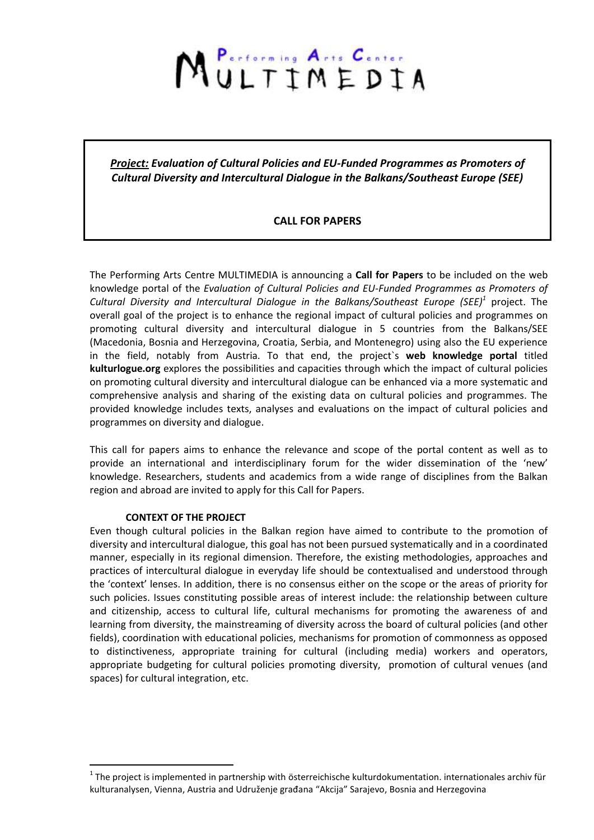# MULTIMEDIA

*Project: Evaluation of Cultural Policies and EU-Funded Programmes as Promoters of Cultural Diversity and Intercultural Dialogue in the Balkans/Southeast Europe (SEE)*

## **CALL FOR PAPERS**

The Performing Arts Centre MULTIMEDIA is announcing a **Call for Papers** to be included on the web knowledge portal of the *Evaluation of Cultural Policies and EU-Funded Programmes as Promoters of Cultural Diversity and Intercultural Dialogue in the Balkans/Southeast Europe (SEE)<sup>1</sup>* project. The overall goal of the project is to enhance the regional impact of cultural policies and programmes on promoting cultural diversity and intercultural dialogue in 5 countries from the Balkans/SEE (Macedonia, Bosnia and Herzegovina, Croatia, Serbia, and Montenegro) using also the EU experience in the field, notably from Austria. To that end, the project`s **web knowledge portal** titled **kulturlogue.org** explores the possibilities and capacities through which the impact of cultural policies on promoting cultural diversity and intercultural dialogue can be enhanced via a more systematic and comprehensive analysis and sharing of the existing data on cultural policies and programmes. The provided knowledge includes texts, analyses and evaluations on the impact of cultural policies and programmes on diversity and dialogue.

This call for papers aims to enhance the relevance and scope of the portal content as well as to provide an international and interdisciplinary forum for the wider dissemination of the 'new' knowledge. Researchers, students and academics from a wide range of disciplines from the Balkan region and abroad are invited to apply for this Call for Papers.

### **CONTEXT OF THE PROJECT**

<u>.</u>

Even though cultural policies in the Balkan region have aimed to contribute to the promotion of diversity and intercultural dialogue, this goal has not been pursued systematically and in a coordinated manner, especially in its regional dimension. Therefore, the existing methodologies, approaches and practices of intercultural dialogue in everyday life should be contextualised and understood through the 'context' lenses. In addition, there is no consensus either on the scope or the areas of priority for such policies. Issues constituting possible areas of interest include: the relationship between culture and citizenship, access to cultural life, cultural mechanisms for promoting the awareness of and learning from diversity, the mainstreaming of diversity across the board of cultural policies (and other fields), coordination with educational policies, mechanisms for promotion of commonness as opposed to distinctiveness, appropriate training for cultural (including media) workers and operators, appropriate budgeting for cultural policies promoting diversity, promotion of cultural venues (and spaces) for cultural integration, etc.

 $1$ The project is implemented in partnership with österreichische kulturdokumentation. internationales archiv für kulturanalysen, Vienna, Austria and Udruženje građana "Akcija" Sarajevo, Bosnia and Herzegovina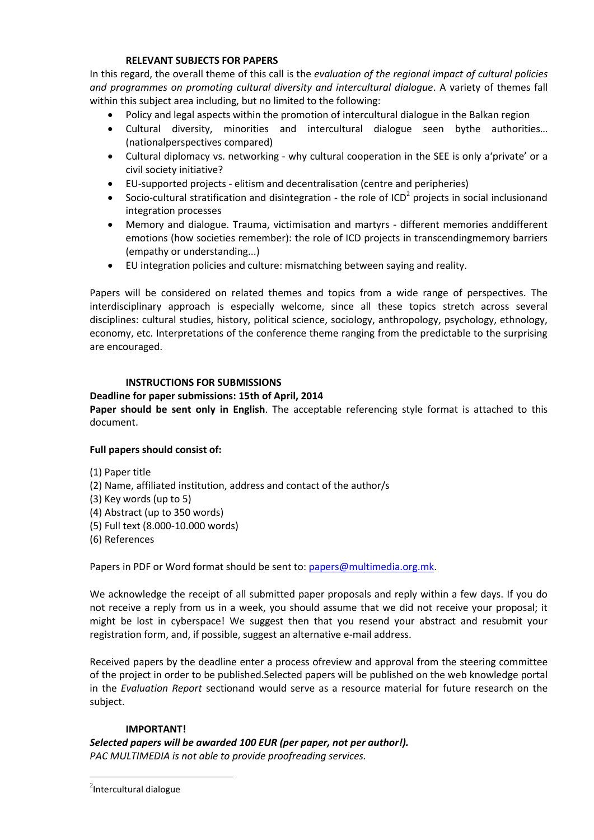### **RELEVANT SUBJECTS FOR PAPERS**

In this regard, the overall theme of this call is the *evaluation of the regional impact of cultural policies and programmes on promoting cultural diversity and intercultural dialogue*. A variety of themes fall within this subject area including, but no limited to the following:

- Policy and legal aspects within the promotion of intercultural dialogue in the Balkan region
- Cultural diversity, minorities and intercultural dialogue seen bythe authorities… (nationalperspectives compared)
- Cultural diplomacy vs. networking ‐ why cultural cooperation in the SEE is only a'private' or a civil society initiative?
- EU-supported projects ‐ elitism and decentralisation (centre and peripheries)
- Socio-cultural stratification and disintegration the role of ICD<sup>2</sup> projects in social inclusionand integration processes
- Memory and dialogue. Trauma, victimisation and martyrs ‐ different memories anddifferent emotions (how societies remember): the role of ICD projects in transcendingmemory barriers (empathy or understanding...)
- EU integration policies and culture: mismatching between saying and reality.

Papers will be considered on related themes and topics from a wide range of perspectives. The interdisciplinary approach is especially welcome, since all these topics stretch across several disciplines: cultural studies, history, political science, sociology, anthropology, psychology, ethnology, economy, etc. Interpretations of the conference theme ranging from the predictable to the surprising are encouraged.

### **INSTRUCTIONS FOR SUBMISSIONS**

### **Deadline for paper submissions: 15th of April, 2014**

**Paper should be sent only in English**. The acceptable referencing style format is attached to this document.

### **Full papers should consist of:**

- (1) Paper title
- (2) Name, affiliated institution, address and contact of the author/s
- (3) Key words (up to 5)
- (4) Abstract (up to 350 words)
- (5) Full text (8.000-10.000 words)
- (6) References

Papers in PDF or Word format should be sent to[: papers@multimedia.org.mk.](mailto:papers@multimedia.org.mk)

We acknowledge the receipt of all submitted paper proposals and reply within a few days. If you do not receive a reply from us in a week, you should assume that we did not receive your proposal; it might be lost in cyberspace! We suggest then that you resend your abstract and resubmit your registration form, and, if possible, suggest an alternative e-mail address.

Received papers by the deadline enter a process ofreview and approval from the steering committee of the project in order to be published.Selected papers will be published on the web knowledge portal in the *Evaluation Report* sectionand would serve as a resource material for future research on the subject.

#### **IMPORTANT!**

*Selected papers will be awarded 100 EUR (per paper, not per author!). PAC MULTIMEDIA is not able to provide proofreading services.* 

1